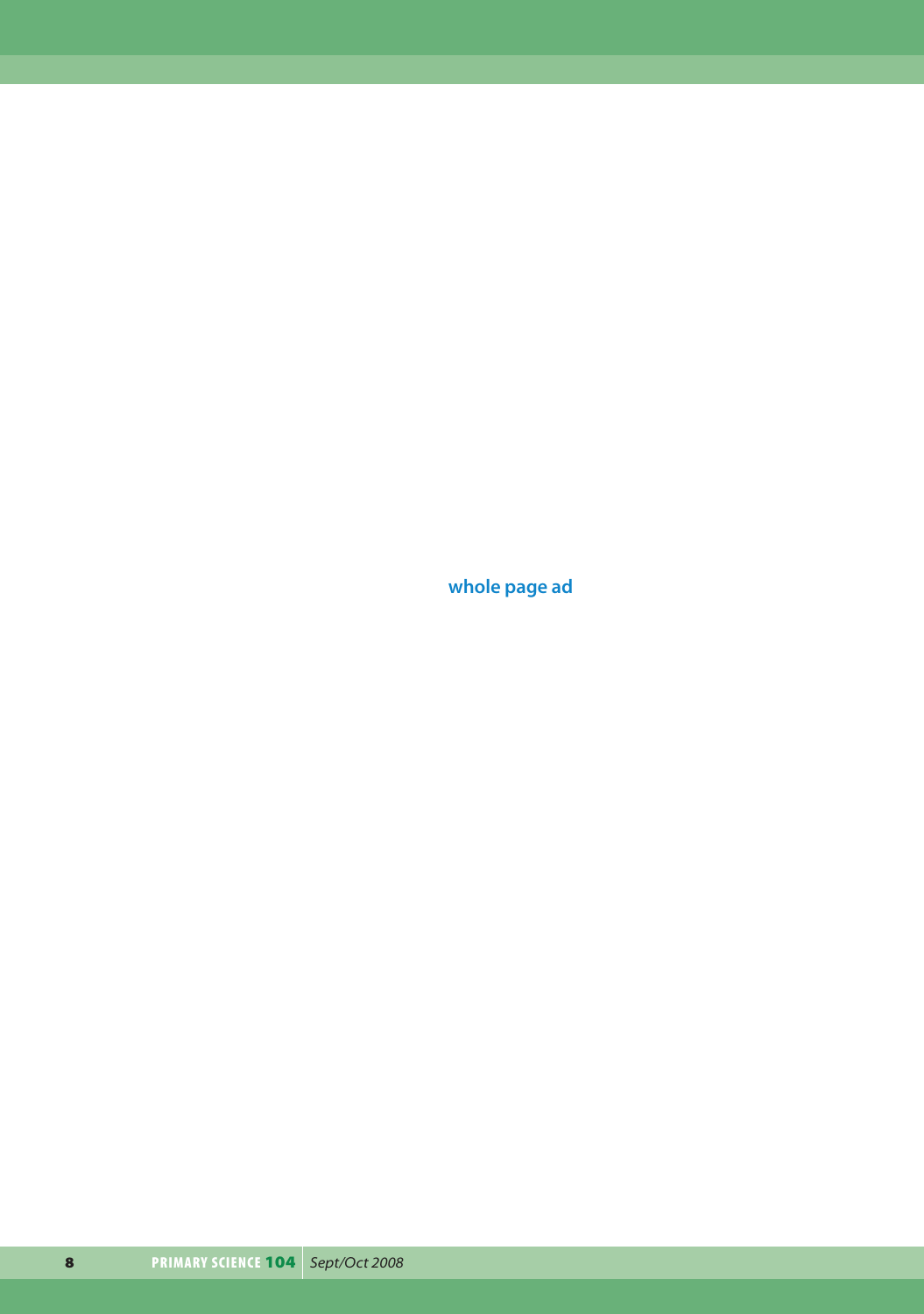**whole page ad**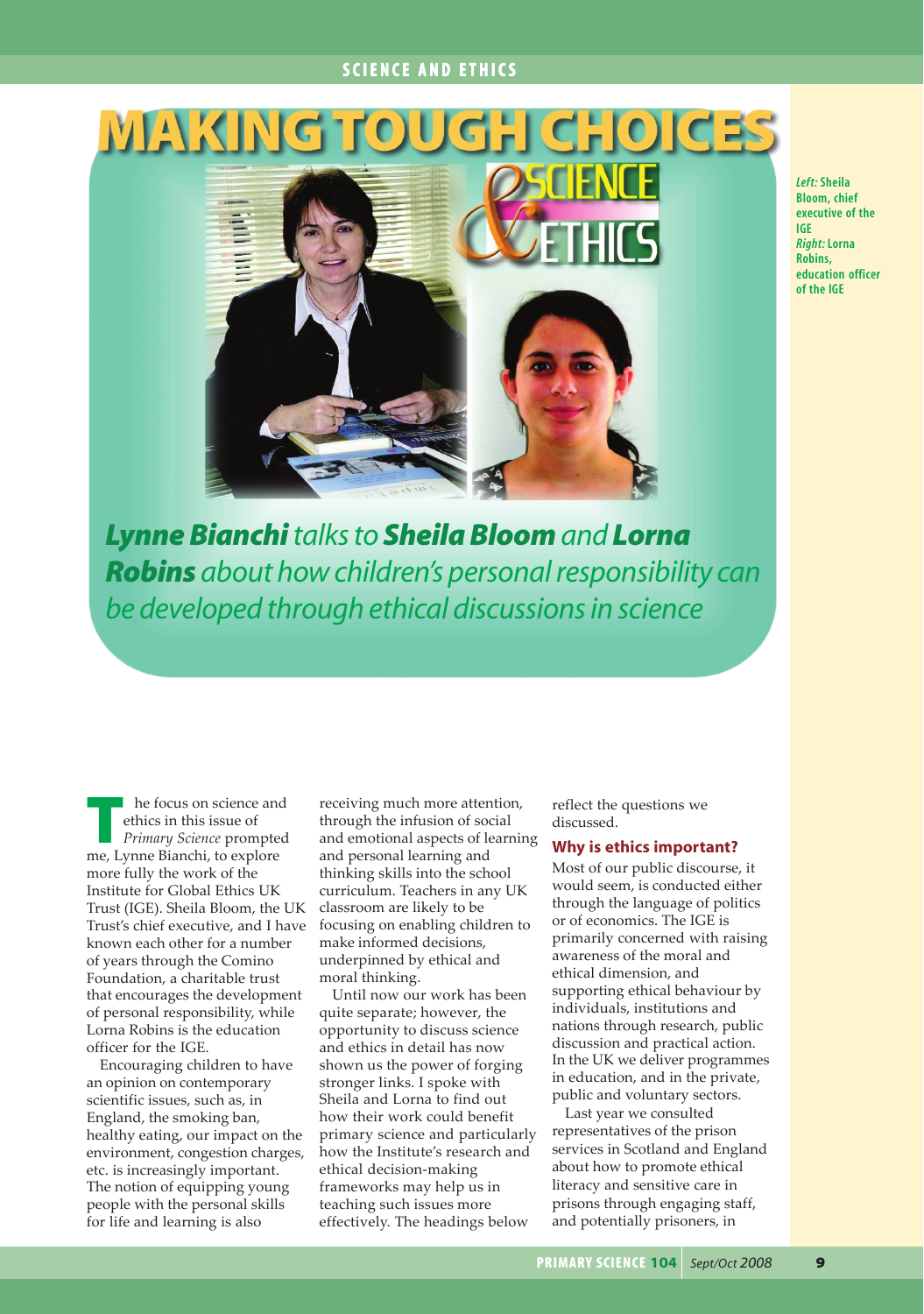# **SCIENCE AND ETHICS SCIENCE AND ETHICS**

# MAKING



*Left:* **Sheila Bloom, chief executive of the IGE** *Right:* **Lorna Robins, education officer of the IGE**

*Lynne Bianchitalks to Sheila Bloom and Lorna Robins about how children's personal responsibility can be developed through ethical discussions in science*

**The focus on science and<br>
ethics in this issue of<br>** *Primary Science* **prompted<br>
<u>Primary Science</u> prompted<br>
<b>Primary Science** prompted ethics in this issue of me, Lynne Bianchi, to explore more fully the work of the Institute for Global Ethics UK Trust (IGE). Sheila Bloom, the UK Trust's chief executive, and I have known each other for a number of years through the Comino Foundation, a charitable trust that encourages the development of personal responsibility, while Lorna Robins is the education officer for the IGE.

Encouraging children to have an opinion on contemporary scientific issues, such as, in England, the smoking ban, healthy eating, our impact on the environment, congestion charges, etc. is increasingly important. The notion of equipping young people with the personal skills for life and learning is also

receiving much more attention, through the infusion of social and emotional aspects of learning and personal learning and thinking skills into the school curriculum. Teachers in any UK classroom are likely to be focusing on enabling children to make informed decisions, underpinned by ethical and moral thinking.

Until now our work has been quite separate; however, the opportunity to discuss science and ethics in detail has now shown us the power of forging stronger links. I spoke with Sheila and Lorna to find out how their work could benefit primary science and particularly how the Institute's research and ethical decision-making frameworks may help us in teaching such issues more effectively. The headings below

reflect the questions we discussed.

## **Why is ethics important?**

Most of our public discourse, it would seem, is conducted either through the language of politics or of economics. The IGE is primarily concerned with raising awareness of the moral and ethical dimension, and supporting ethical behaviour by individuals, institutions and nations through research, public discussion and practical action. In the UK we deliver programmes in education, and in the private, public and voluntary sectors.

Last year we consulted representatives of the prison services in Scotland and England about how to promote ethical literacy and sensitive care in prisons through engaging staff, and potentially prisoners, in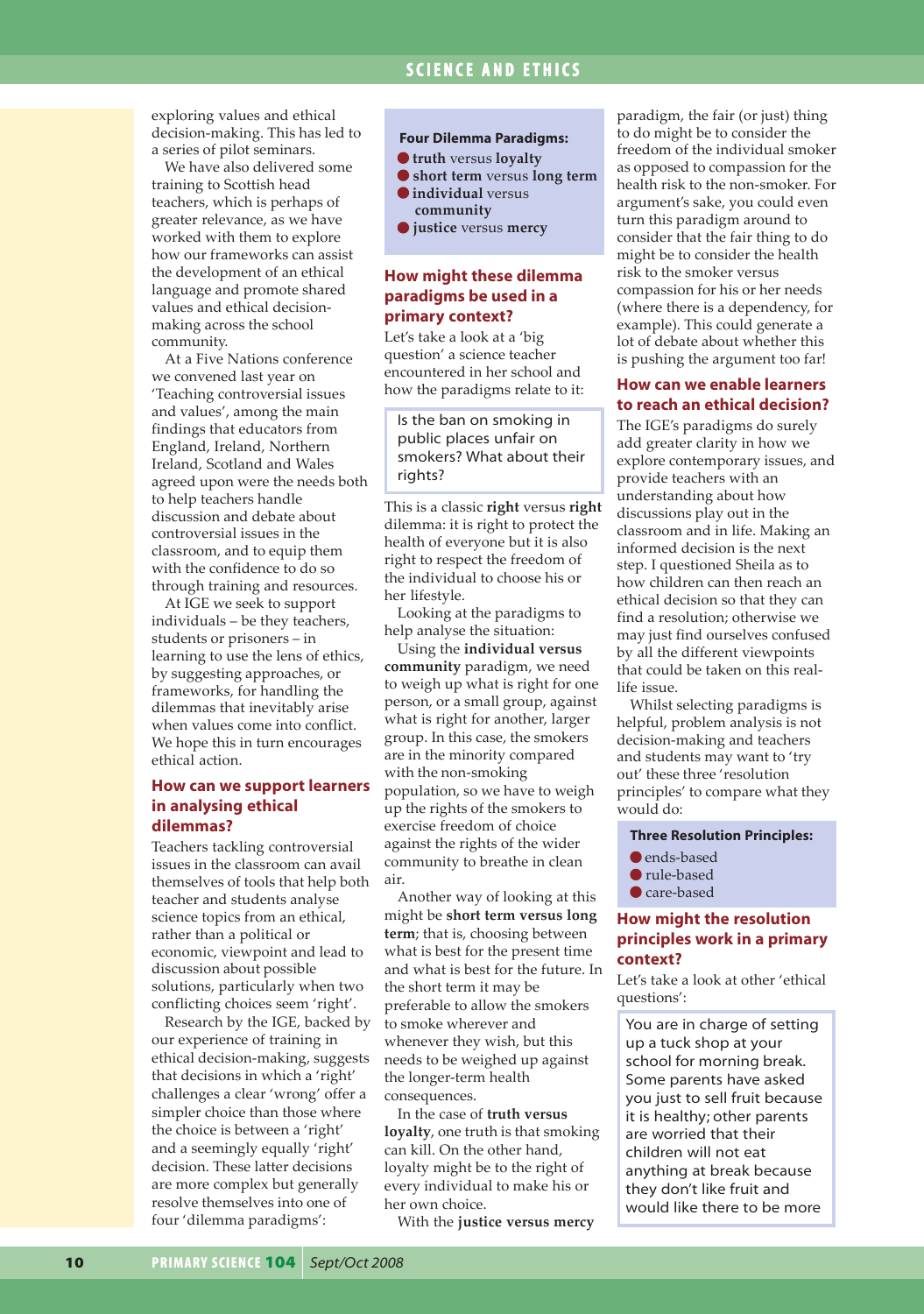## **SCIENCE AND ETHICS**

exploring values and ethical decision-making. This has led to a series of pilot seminars.

We have also delivered some training to Scottish head teachers, which is perhaps of greater relevance, as we have worked with them to explore how our frameworks can assist the development of an ethical language and promote shared values and ethical decisionmaking across the school community.

At a Five Nations conference we convened last year on 'Teaching controversial issues and values', among the main findings that educators from England, Ireland, Northern Ireland, Scotland and Wales agreed upon were the needs both to help teachers handle discussion and debate about controversial issues in the classroom, and to equip them with the confidence to do so through training and resources.

At IGE we seek to support individuals – be they teachers, students or prisoners – in learning to use the lens of ethics, by suggesting approaches, or frameworks, for handling the dilemmas that inevitably arise when values come into conflict. We hope this in turn encourages ethical action.

## **How can we support learners in analysing ethical dilemmas?**

Teachers tackling controversial issues in the classroom can avail themselves of tools that help both teacher and students analyse science topics from an ethical, rather than a political or economic, viewpoint and lead to discussion about possible solutions, particularly when two conflicting choices seem 'right'.

Research by the IGE, backed by our experience of training in ethical decision-making, suggests that decisions in which a 'right' challenges a clear 'wrong' offer a simpler choice than those where the choice is between a 'right' and a seemingly equally 'right' decision. These latter decisions are more complex but generally resolve themselves into one of four 'dilemma paradigms':

#### **Four Dilemma Paradigms:**

- **truth** versus **loyalty**
- **short term** versus **long term individual** versus
- **community**
- **justice** versus **mercy**

## **How might these dilemma paradigms be used in a primary context?**

Let's take a look at a 'big question' a science teacher encountered in her school and how the paradigms relate to it:

Is the ban on smoking in public places unfair on smokers? What about their rights?

This is a classic **right** versus **right** dilemma: it is right to protect the health of everyone but it is also right to respect the freedom of the individual to choose his or her lifestyle.

Looking at the paradigms to help analyse the situation:

Using the **individual versus community** paradigm, we need to weigh up what is right for one person, or a small group, against what is right for another, larger group. In this case, the smokers are in the minority compared with the non-smoking population, so we have to weigh up the rights of the smokers to exercise freedom of choice against the rights of the wider community to breathe in clean air.

Another way of looking at this might be **short term versus long term**; that is, choosing between what is best for the present time and what is best for the future. In the short term it may be preferable to allow the smokers to smoke wherever and whenever they wish, but this needs to be weighed up against the longer-term health consequences.

In the case of **truth versus loyalty**, one truth is that smoking can kill. On the other hand, loyalty might be to the right of every individual to make his or her own choice.

With the **justice versus mercy**

paradigm, the fair (or just) thing to do might be to consider the freedom of the individual smoker as opposed to compassion for the health risk to the non-smoker. For argument's sake, you could even turn this paradigm around to consider that the fair thing to do might be to consider the health risk to the smoker versus compassion for his or her needs (where there is a dependency, for example). This could generate a lot of debate about whether this is pushing the argument too far!

#### **How can we enable learners to reach an ethical decision?**

The IGE's paradigms do surely add greater clarity in how we explore contemporary issues, and provide teachers with an understanding about how discussions play out in the classroom and in life. Making an informed decision is the next step. I questioned Sheila as to how children can then reach an ethical decision so that they can find a resolution; otherwise we may just find ourselves confused by all the different viewpoints that could be taken on this reallife issue.

Whilst selecting paradigms is helpful, problem analysis is not decision-making and teachers and students may want to 'try out' these three 'resolution principles' to compare what they would do:

#### **Three Resolution Principles:**

- **O** ends-based
- rule-based
- Care-based

## **How might the resolution principles work in a primary context?**

Let's take a look at other 'ethical questions':

You are in charge of setting up a tuck shop at your school for morning break. Some parents have asked you just to sell fruit because it is healthy; other parents are worried that their children will not eat anything at break because they don't like fruit and would like there to be more